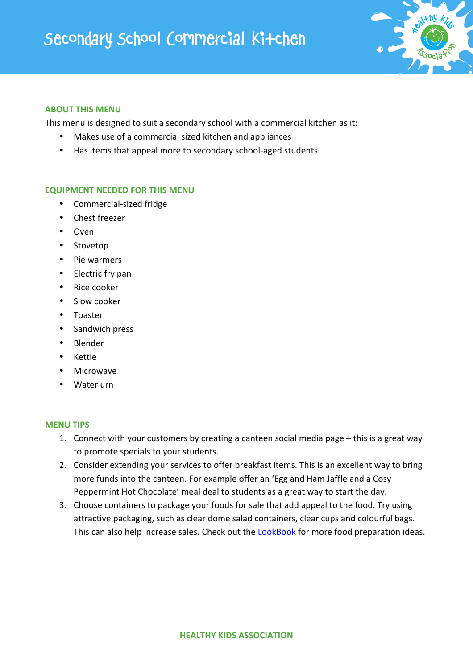## Secondary School Commercial Kitchen



## **ABOUT THIS MENU**

This menu is designed to suit a secondary school with a commercial kitchen as it:

- Makes use of a commercial sized kitchen and appliances
- Has items that appeal more to secondary school-aged students

## **EQUIPMENT NEEDED FOR THIS MENU**

- Commercial-sized fridge
- Chest freezer
- Oven
- Stovetop
- Pie warmers
- Electric fry pan
- Rice cooker
- Slow cooker
- Toaster
- Sandwich press
- Blender
- Kettle
- Microwave
- Water urn

## **MENU TIPS**

- 1. Connect with your customers by creating a canteen social media page this is a great way to promote specials to your students.
- 2. Consider extending your services to offer breakfast items. This is an excellent way to bring more funds into the canteen. For example offer an 'Egg and Ham Jaffle and a Cosy Peppermint Hot Chocolate' meal deal to students as a great way to start the day.
- 3. Choose containers to package your foods for sale that add appeal to the food. Try using attractive packaging, such as clear dome salad containers, clear cups and colourful bags. This can also help increase sales. Check out the LookBook for more food preparation ideas.